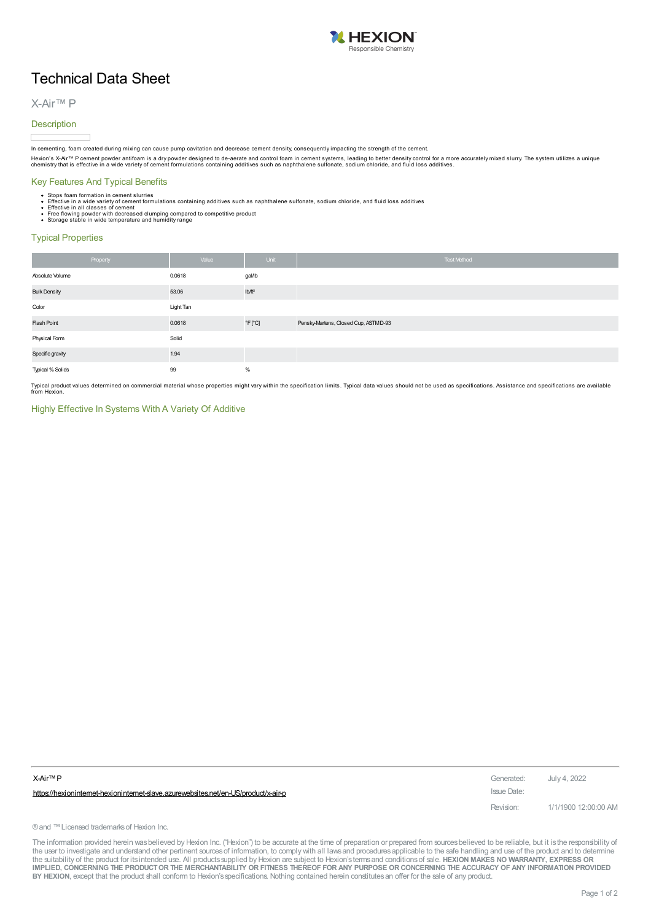

# Technical Data Sheet

## X-Air™ P

#### **Description**

In cementing, foam created during mixing can cause pump cavitation and decrease cement density, consequently impacting the strength of the cement.

Hexion's X-Air™ P cement powder antifoam is a dry powder designed to de-aerate and control foam in cement systems, leading to better density control for a more accurately mixed slurry. The system utilizes a unique<br>chemist

### Key Features And Typical Benefits

- 
- Stops foam formation in cement slurries<br>• Effective in a wide variety of cement formulations containing additives such as naphthalene sulfonate, sodium chloride, and fluid loss additives<br>• Effective in all classes of ce
- 
- 

#### Typical Properties

| Property            | Value     | Unit                         | Test Method                          |
|---------------------|-----------|------------------------------|--------------------------------------|
| Absolute Volume     | 0.0618    | gal/lb                       |                                      |
| <b>Bulk Density</b> | 53.06     | Ib/ft <sup>2</sup>           |                                      |
| Color               | Light Tan |                              |                                      |
| Flash Point         | 0.0618    | $\degree$ F $[$ $\degree$ C] | Pensky-Martens, Closed Cup, ASTMD-93 |
| Physical Form       | Solid     |                              |                                      |
| Specific gravity    | 1.94      |                              |                                      |
| Typical % Solids    | 99        | $\%$                         |                                      |

Typical product values determined on commercial material whose properties might vary within the specification limits. Typical data values should not be used as specifications. Assistance and specifications are available<br>fr

#### Highly Effective In Systems With A Variety Of Additive

| X-Air™ P                                                                          | Generated:  | July 4, 2022         |
|-----------------------------------------------------------------------------------|-------------|----------------------|
| https://hexionintemet-hexionintemet-slave.azurewebsites.net/en-US/product/x-air-p | Issue Date: |                      |
|                                                                                   | Revision:   | 1/1/1900 12:00:00 AM |

® and ™ Licensed trademarks of Hexion Inc.

The information provided herein was believed by Hexion Inc. ("Hexion") to be accurate at the time of preparation or prepared from sources believed to be reliable, but it is the responsibility of the user to investigate and understand other pertinent sources of information, to comply with all laws and procedures applicable to the safe handling and use of the product and to determine the suitability of the product for itsintended use. All productssupplied by Hexion are subject to Hexion'stermsand conditionsof sale. **HEXION MAKES NO WARRANTY, EXPRESS OR** IMPLIED, CONCERNING THE PRODUCT OR THE MERCHANTABILITY OR FITNESS THEREOF FOR ANY PURPOSE OR CONCERNING THE ACCURACY OF ANY INFORMATION PROVIDED **BY HEXION**, except that the product shall conform to Hexion'sspecifications. Nothing contained herein constitutesan offer for the sale of any product.